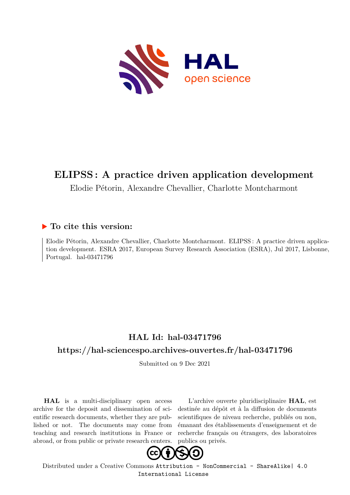

#### **ELIPSS : A practice driven application development**

Elodie Pétorin, Alexandre Chevallier, Charlotte Montcharmont

#### **To cite this version:**

Elodie Pétorin, Alexandre Chevallier, Charlotte Montcharmont. ELIPSS : A practice driven application development. ESRA 2017, European Survey Research Association (ESRA), Jul 2017, Lisbonne, Portugal. hal-03471796

#### **HAL Id: hal-03471796**

#### **<https://hal-sciencespo.archives-ouvertes.fr/hal-03471796>**

Submitted on 9 Dec 2021

**HAL** is a multi-disciplinary open access archive for the deposit and dissemination of scientific research documents, whether they are published or not. The documents may come from teaching and research institutions in France or abroad, or from public or private research centers.

L'archive ouverte pluridisciplinaire **HAL**, est destinée au dépôt et à la diffusion de documents scientifiques de niveau recherche, publiés ou non, émanant des établissements d'enseignement et de recherche français ou étrangers, des laboratoires publics ou privés.



Distributed under a Creative Commons [Attribution - NonCommercial - ShareAlike| 4.0](http://creativecommons.org/licenses/by-nc-sa/4.0/) [International License](http://creativecommons.org/licenses/by-nc-sa/4.0/)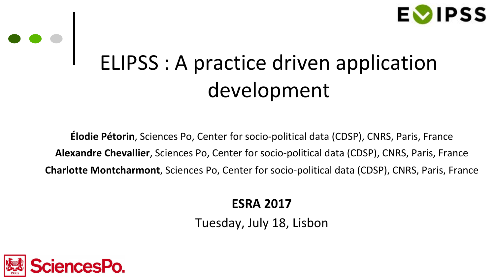

### ELIPSS : A practice driven application development

**Élodie Pétorin**, Sciences Po, Center for socio-political data (CDSP), CNRS, Paris, France **Alexandre Chevallier**, Sciences Po, Center for socio-political data (CDSP), CNRS, Paris, France **Charlotte Montcharmont**, Sciences Po, Center for socio-political data (CDSP), CNRS, Paris, France

**ESRA 2017**

Tuesday, July 18, Lisbon



 $\begin{array}{c|c} \bullet & \bullet & \bullet \\ \hline \end{array}$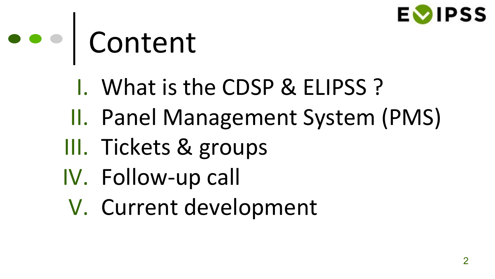

### e e | Content

- I. What is the CDSP & ELIPSS ?
- II. Panel Management System (PMS)
- III. Tickets & groups
- IV. Follow-up call
- V. Current development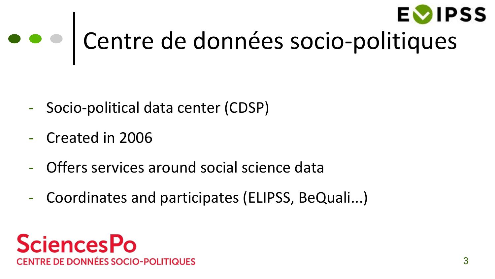

## Centre de données socio-politiques

- Socio-political data center (CDSP)
- Created in 2006
- Offers services around social science data
- Coordinates and participates (ELIPSS, BeQuali...)

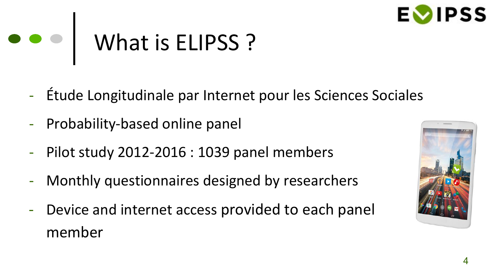

#### What is ELIPSS ?  $\bullet\bullet\bullet$

- Étude Longitudinale par Internet pour les Sciences Sociales
- Probability-based online panel
- Pilot study 2012-2016 : 1039 panel members
- Monthly questionnaires designed by researchers
- Device and internet access provided to each panel member

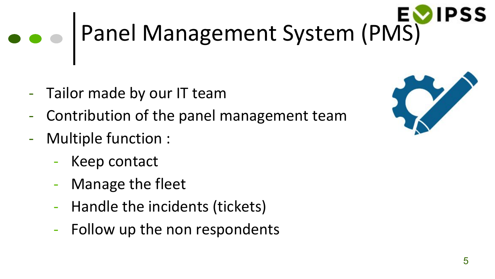# Panel Management System (PMS)

- Tailor made by our IT team
- Contribution of the panel management team
- Multiple function :
	- Keep contact
	- Manage the fleet
	- Handle the incidents (tickets)
	- Follow up the non respondents

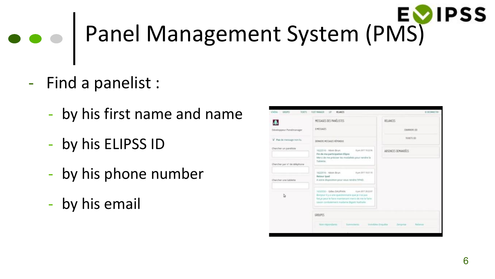# Panel Management System (PMS)

- Find a panelist :
	- by his first name and name
	- by his ELIPSS ID
	- by his phone number
	- by his email

| Usila: seper<br>TEXTS:       | <b>FLEET MANAGER</b><br>HELBACES<br>187                                                                                                                                                                 | SE DECOMMENTE                           |
|------------------------------|---------------------------------------------------------------------------------------------------------------------------------------------------------------------------------------------------------|-----------------------------------------|
|                              | MESSAGES DES PANÉLISTES                                                                                                                                                                                 | RELANCES                                |
| Développeur Panelmanager     | <b>BIMESSAGES</b>                                                                                                                                                                                       | COURRERS (0)                            |
| W Pas de message non-lu.     | DERWERS MESSAGES REPONDUS                                                                                                                                                                               | TICKETS (20)                            |
| Chercher un panéliste        | Earn 2017 19:22:56<br>1622516 - Kévin Brun<br>Fin de ma participation Elipss<br>Merci de me préciser les modalités pour rendre la                                                                       | ABSENCES DEMANDÉES                      |
| Chercher par nº de téléphone | Tablette.                                                                                                                                                                                               |                                         |
| Charcher une tablette        | 1622516 - Kévin Brun<br>Rain 2017 10:21:15<br>Retour toad<br>A votre disposition pour vous rendre l'IRAD.                                                                                               |                                         |
| b                            | Y650530 - Gilles DAUPHIN<br>4 juin 2017 20 22:07<br>Bonaux il y a une questionnaire que je stai pas<br>fait in peut le faire maintenant ment de me le faire<br>sayor containment madame Bigott Nathalle |                                         |
|                              | GROUPES.                                                                                                                                                                                                |                                         |
|                              | New Hiporidants<br>Summittees.                                                                                                                                                                          | imodules Enquire<br>Zenome<br>Reliatora |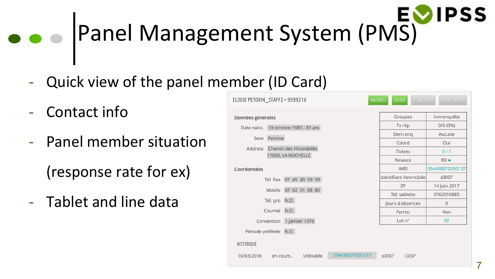#### **DIPSS** Panel Management System (PMS)

- Quick view of the panel member (ID Card)
- Contact info
- Panel member situation (response rate for ex)
- Tablet and line data

| Données générales                    |                                              |                           | Groupes               | invi-enquête    |
|--------------------------------------|----------------------------------------------|---------------------------|-----------------------|-----------------|
| Date naiss. 19 octobre 1983 - 33 ans |                                              |                           | Tx rép                | 0/6(0%)         |
|                                      | Sexe Femme                                   |                           | Dern eng              | Aucune          |
|                                      |                                              |                           | Coord                 | Oui             |
| Address                              | Chemin des Hirondelles<br>17000, LA ROCHELLE |                           | Tickets               | 0/1             |
|                                      |                                              |                           | Relance               | RO              |
| Coordonnées                          |                                              |                           | <b>IMEL</b>           | 354438070050137 |
|                                      |                                              | Tél. fixe 01 45 49 59 59  | Identifiant Xenmobile | s0007           |
|                                      |                                              | Mobile 07 62 01 68 85     | ZP                    | 14 Juin 2017    |
|                                      |                                              |                           | Tél. tablette         | 0762016885      |
| Tél. pro N.D.                        |                                              |                           | Jours d'absences      | $\mathbf{0}$    |
|                                      | Courriel N.D.                                |                           | Femto                 | <b>Non</b>      |
|                                      |                                              | Convention 1 janvier 1970 | Lot n <sup>°</sup>    | 92              |
| Période préférée N.D.                |                                              |                           |                       |                 |
| <b>HISTORIQUE</b>                    |                                              |                           |                       |                 |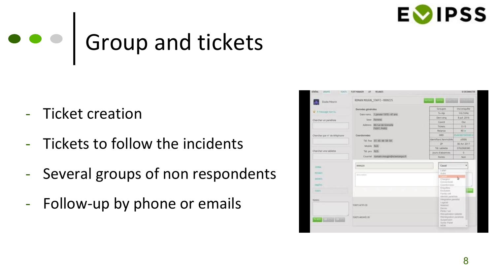

### ••• Group and tickets

- Ticket creation
- Tickets to follow the incidents
- Several groups of non respondents
- Follow-up by phone or emails

| <b>GENERAL</b><br>TOUTS:<br><b>DESPIT</b> | <b>FLEET MANAGER</b><br><b>LIT</b><br><b>RELANCES</b> |                                             | 12 DECONNECTER           |
|-------------------------------------------|-------------------------------------------------------|---------------------------------------------|--------------------------|
| <b>Elodie Petorini</b>                    | ROMAIN MOUGIN_STAFF2 + 9999225.                       | mar lime Bermit                             |                          |
|                                           | Données générales                                     | Groupes                                     | ini-enquite              |
| Timestage non-lu                          | Date noiss. I penner 1970 - 47 ans                    | Ta rép                                      | T/6 (16%)                |
|                                           | Seve Femme                                            | Dern eng                                    | 8 juli, 2016             |
| Chincher un paniliste                     |                                                       | Coord                                       | Oui                      |
|                                           | Address 84 (ue de Grenelle)<br>TSOOT, PARIS           | <b>Tickets</b>                              | 0.70                     |
|                                           |                                                       | Relance                                     | <b>IKD is:</b>           |
| Chercher par nº de téléphone              | Coordonnées                                           | <b>IMB</b>                                  | 254430070250814          |
|                                           | Tel. five 01.45 49.59 59                              | Identifiant Xenmobile                       | 30006                    |
|                                           | Mobile N.D.                                           | $29^{\circ}$                                | 06 Avr 2017              |
| Chercher une tablette                     | Tél. pro N.D.                                         | Tél.tablette                                | 0762068380               |
|                                           |                                                       | jours d'absercies                           | $-\infty$                |
|                                           | Counter, Jraman moogin@spendergich                    | <b>Ferrets</b>                              | Non                      |
| <b>JEFFEE</b>                             | 9990225                                               | Castell                                     | ۰                        |
|                                           |                                                       | Label                                       |                          |
| <b>MITCHELL</b>                           | <b>SHOWERS</b>                                        | <b>Zidre</b>                                |                          |
| <b>MANUEL</b>                             |                                                       | Chinginal                                   | b                        |
| <b>MARTIE</b>                             |                                                       | Connectivité.<br>Coortoreires               |                          |
| TERETS:                                   |                                                       | Erizoliera <sup>.</sup><br>Eschman          |                          |
|                                           |                                                       | Ferras call:                                |                          |
| Notes:                                    |                                                       | Abertold juviletime<br>integration parents) |                          |
|                                           |                                                       | Logicial                                    |                          |
|                                           | TOUTLACIVE DE                                         | Alterational<br>Decisi:                     |                          |
|                                           |                                                       | Porte / vol.<br>Recommendation              |                          |
|                                           | TOUTLARING \$5                                        |                                             | Reinstgration providents |
| <b>The Community</b>                      |                                                       | Suspension.<br>Sorie Panel                  |                          |
|                                           |                                                       | <b>MEMA</b>                                 |                          |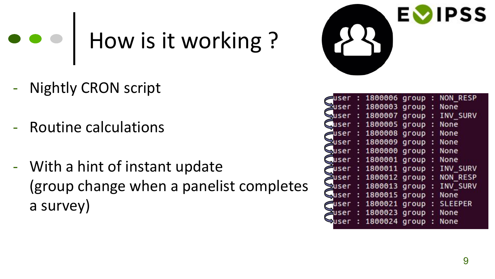## How is it working ?

- **Nightly CRON script**
- Routine calculations
- With a hint of instant update (group change when a panelist completes a survey)



| iser         |   | 1800006       | group |   | <b>NON RESP</b> |
|--------------|---|---------------|-------|---|-----------------|
| <b>Auser</b> |   | 1800003       | group |   | None            |
| buser        |   | 1800007       | group |   | INV SURV        |
| user         |   | 1800005       | group |   | None            |
| user         |   | 1800008       | group |   | None            |
| Puser        |   | 1800009       | group | и | None            |
| <b>Buser</b> |   | 1800000       | group | н | None            |
| user         | ٥ | 1800001       | group | t | None            |
| user         |   | 1800011       | group | и | INV SURV        |
| user         | ÷ | 1800012 group |       | ÷ | <b>NON RESP</b> |
| <b>Puser</b> |   | 1800013       | group | ÷ | INV SURV        |
| <b>Juser</b> | t | 1800015       | group |   | None            |
| user         |   | 1800021       | group | ÷ | <b>SLEEPER</b>  |
| user         |   | 1800023       | group |   | None            |
|              |   | 1800024       | group |   | None            |
|              |   |               |       |   |                 |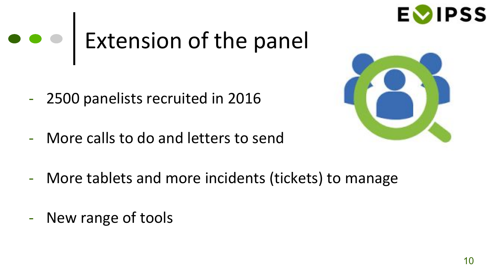

# e e | Extension of the panel

- 2500 panelists recruited in 2016
- More calls to do and letters to send



- More tablets and more incidents (tickets) to manage
- New range of tools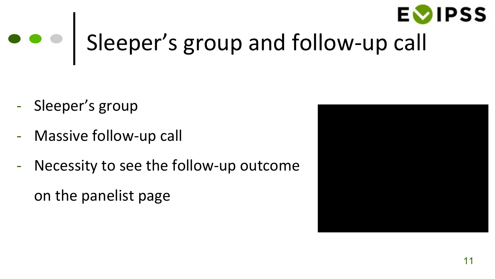

# $\bullet \bullet$  Sleeper's group and follow-up call

- Sleeper's group
- Massive follow-up call
- Necessity to see the follow-up outcome

on the panelist page

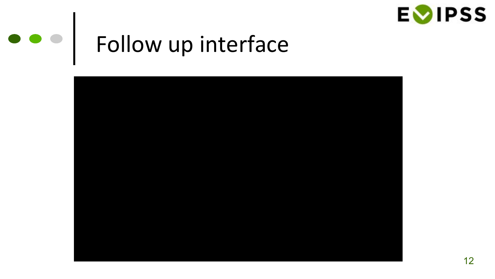

## Follow up interface

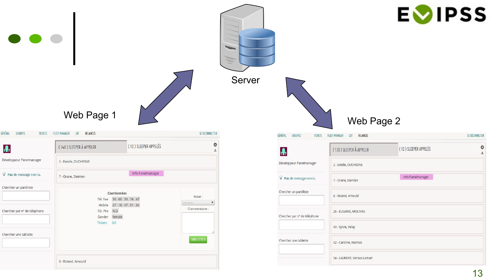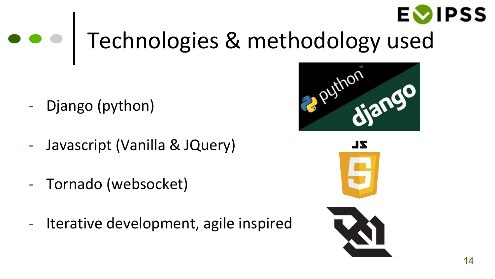

### Technologies & methodology used

- Django (python)
- Javascript (Vanilla & JQuery)
- Tornado (websocket)
- Iterative development, agile inspired



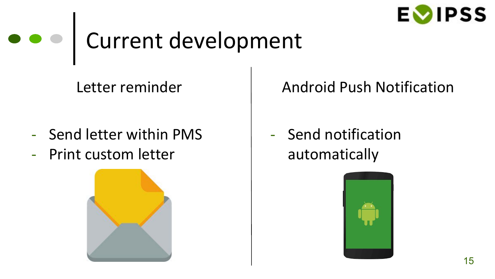

### Current development

Letter reminder

- Send letter within PMS
- Print custom letter



#### Android Push Notification

- Send notification automatically